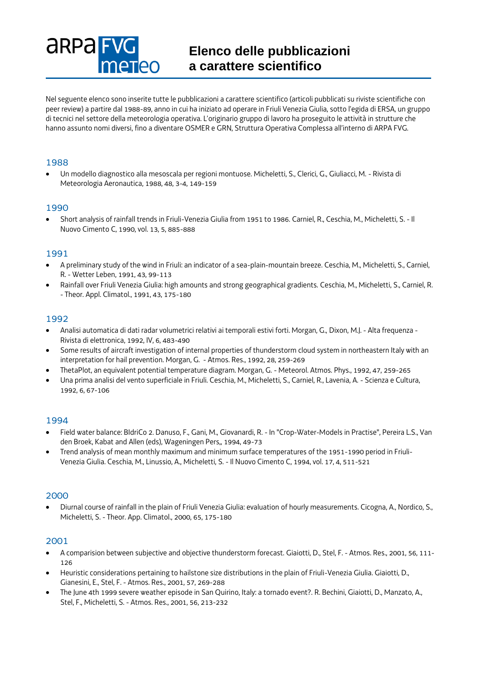# **Elenco delle pubblicazioni a carattere scientifico**

Nel seguente elenco sono inserite tutte le pubblicazioni a carattere scientifico (articoli pubblicati su riviste scientifiche con peer review) a partire dal 1988-89, anno in cui ha iniziato ad operare in Friuli Venezia Giulia, sotto l'egida di ERSA, un gruppo di tecnici nel settore della meteorologia operativa. L'originario gruppo di lavoro ha proseguito le attività in strutture che hanno assunto nomi diversi, fino a diventare OSMER e GRN, Struttura Operativa Complessa all'interno di ARPA FVG.

# 1988

**ARPAF** 

 Un modello diagnostico alla mesoscala per regioni montuose. Micheletti, S., Clerici, G., Giuliacci, M. - Rivista di Meteorologia Aeronautica, 1988, 48, 3-4, 149-159

### 1990

 Short analysis of rainfall trends in Friuli-Venezia Giulia from 1951 to 1986. Carniel, R., Ceschia, M., Micheletti, S. - Il Nuovo Cimento C, 1990, vol. 13, 5, 885-888

### 1991

- A preliminary study of the wind in Friuli: an indicator of a sea-plain-mountain breeze. Ceschia, M., Micheletti, S., Carniel, R. - Wetter Leben, 1991, 43, 99-113
- Rainfall over Friuli Venezia Giulia: high amounts and strong geographical gradients. Ceschia, M., Micheletti, S., Carniel, R. - Theor. Appl. Climatol., 1991, 43, 175-180

### 1992

- Analisi automatica di dati radar volumetrici relativi ai temporali estivi forti. Morgan, G., Dixon, M.J. Alta frequenza Rivista di elettronica, 1992, IV, 6, 483-490
- Some results of aircraft investigation of internal properties of thunderstorm cloud system in northeastern Italy with an interpretation for hail prevention. Morgan, G. - Atmos. Res., 1992, 28, 259-269
- ThetaPlot, an equivalent potential temperature diagram. Morgan, G. Meteorol. Atmos. Phys., 1992, 47, 259-265
- Una prima analisi del vento superficiale in Friuli. Ceschia, M., Micheletti, S., Carniel, R., Lavenia, A. Scienza e Cultura, 1992, 6, 67-106

### 1994

- Field water balance: BIdriCo 2. Danuso, F., Gani, M., Giovanardi, R. In "Crop-Water-Models in Practise", Pereira L.S., Van den Broek, Kabat and Allen (eds), Wageningen Pers,, 1994, 49-73
- Trend analysis of mean monthly maximum and minimum surface temperatures of the 1951-1990 period in Friuli-Venezia Giulia. Ceschia, M., Linussio, A., Micheletti, S. - Il Nuovo Cimento C, 1994, vol. 17, 4, 511-521

### 2000

 Diurnal course of rainfall in the plain of Friuli Venezia Giulia: evaluation of hourly measurements. Cicogna, A., Nordico, S., Micheletti, S. - Theor. App. Climatol., 2000, 65, 175-180

### 2001

- A comparision between subjective and objective thunderstorm forecast. Giaiotti, D., Stel, F. Atmos. Res., 2001, 56, 111-126
- Heuristic considerations pertaining to hailstone size distributions in the plain of Friuli-Venezia Giulia. Giaiotti, D., Gianesini, E., Stel, F. - Atmos. Res., 2001, 57, 269-288
- The June 4th 1999 severe weather episode in San Quirino, Italy: a tornado event?. R. Bechini, Giaiotti, D., Manzato, A., Stel, F., Micheletti, S. - Atmos. Res., 2001, 56, 213-232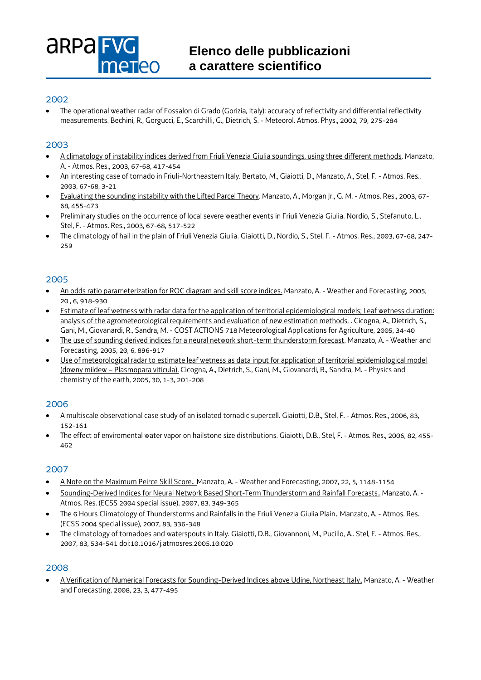

### 2002

 The operational weather radar of Fossalon di Grado (Gorizia, Italy): accuracy of reflectivity and differential reflectivity measurements. Bechini, R., Gorgucci, E., Scarchilli, G., Dietrich, S. - Meteorol. Atmos. Phys., 2002, 79, 275-284

### 2003

- [A climatology of instability indices derived from Friuli Venezia Giulia soundings, using three different methods.](http://dx.doi.org/doi:10.1016/S0169-8095(03)00058-9) Manzato, A. - Atmos. Res., 2003, 67-68, 417-454
- An interesting case of tornado in Friuli-Northeastern Italy. Bertato, M., Giaiotti, D., Manzato, A., Stel, F. Atmos. Res., 2003, 67-68, 3-21
- [Evaluating the sounding instability with the Lifted Parcel Theory.](https://doi.org/10.1016/S0169-8095(03)00059-0) Manzato, A., Morgan Jr., G. M. Atmos. Res., 2003, 67- 68, 455-473
- Preliminary studies on the occurrence of local severe weather events in Friuli Venezia Giulia. Nordio, S., Stefanuto, L., Stel, F. - Atmos. Res., 2003, 67-68, 517-522
- The climatology of hail in the plain of Friuli Venezia Giulia. Giaiotti, D., Nordio, S., Stel, F. Atmos. Res., 2003, 67-68, 247- 259

### 2005

- [An odds ratio parameterization for ROC diagram and skill score indices.](https://doi.org/10.1175/WAF899.1) Manzato, A. Weather and Forecasting, 2005, 20 , 6, 918-930
- [Estimate of leaf wetness with radar data for the application of territorial epidemiological models; Leaf wetness duration:](https://doi.org/10.1016/j.pce.2004.08.015)  [analysis of the agrometeorological requirements and evaluation of new estimation methods.](https://doi.org/10.1016/j.pce.2004.08.015) . Cicogna, A., Dietrich, S., Gani, M., Giovanardi, R., Sandra, M. - COST ACTIONS 718 Meteorological Applications for Agriculture, 2005, 34-40
- [The use of sounding derived indices for a neural network short-term thunderstorm forecast.](https://doi.org/10.1175/WAF898.1) Manzato, A. Weather and Forecasting, 2005, 20, 6, 896-917
- [Use of meteorological radar to estimate leaf wetness as data input for application of territorial epidemiological model](https://doi.org/10.1016/j.pce.2004.08.015)  (downy mildew – [Plasmopara viticula\)](https://doi.org/10.1016/j.pce.2004.08.015). Cicogna, A., Dietrich, S., Gani, M., Giovanardi, R., Sandra, M. - Physics and chemistry of the earth, 2005, 30, 1-3, 201-208

### 2006

- A multiscale observational case study of an isolated tornadic supercell. Giaiotti, D.B., Stel, F. Atmos. Res., 2006, 83, 152-161
- The effect of enviromental water vapor on hailstone size distributions. Giaiotti, D.B., Stel, F. Atmos. Res., 2006, 82, 455- 462

### 2007

- [A Note on the Maximum Peirce Skill Score](https://doi.org/10.1175/WAF1041.1). Manzato, A. Weather and Forecasting, 2007, 22, 5, 1148-1154
- [Sounding-Derived Indices for Neural Network Based Short-Term Thunderstorm and Rainfall Forecasts](http://dx.doi.org/10.1016/j.atmosres.2005.10.021). Manzato, A. Atmos. Res. (ECSS 2004 special issue), 2007, 83, 349-365
- [The 6 Hours Climatology of Thunderstorms and Rainfalls in the Friuli Venezia Giulia Plain](http://dx.doi.org/10.1016/j.atmosres.2005.08.013). Manzato, A. Atmos. Res. (ECSS 2004 special issue), 2007, 83, 336-348
- The climatology of tornadoes and waterspouts in Italy. Giaiotti, D.B., Giovannoni, M., Pucillo, A.. Stel, F. Atmos. Res., 2007, 83, 534-541 doi:10.1016/j.atmosres.2005.10.020

### 2008

 [A Verification of Numerical Forecasts for Sounding-Derived Indices above Udine, Northeast Italy](http://dx.doi.org/10.1175/2007WAF2007018.1). Manzato, A. - Weather and Forecasting, 2008, 23, 3, 477-495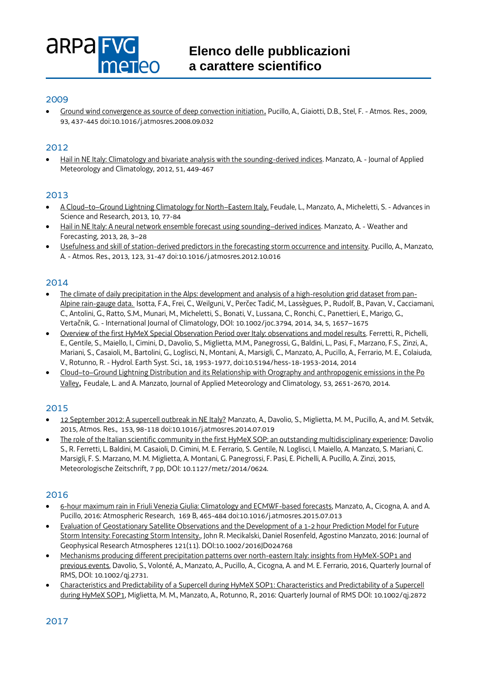# **ARPAFT ATAN**

### 2009

 [Ground wind convergence as source of deep convection initiation](https://doi.org/10.1016/j.atmosres.2008.09.032). Pucillo, A., Giaiotti, D.B., Stel, F. - Atmos. Res., 2009, 93, 437-445 doi:10.1016/j.atmosres.2008.09.032

# 2012

 [Hail in NE Italy: Climatology and bivariate analysis with the sounding-derived indices.](http://dx.doi.org/10.1175/JAMC-D-10-05012.1) Manzato, A. - Journal of Applied Meteorology and Climatology, 2012, 51, 449-467

### 2013

- A Cloud–to–[Ground Lightning Climatology for North](https://doi.org/10.5194/asr-10-77-2013)–Eastern Italy. Feudale, L., Manzato, A., Micheletti, S. Advances in Science and Research, 2013, 10, 77-84
- [Hail in NE Italy: A neural network ensemble forecast using sounding](http://dx.doi.org/10.1175/WAF-D-12-00034.1)–derived indices. Manzato, A. Weather and Forecasting, 2013, 28, 3–28
- [Usefulness and skill of station-derived predictors in the forecasting storm occurrence and intensity.](http://dx.doi.org/10.1016/j.atmosres.2012.10.016) Pucillo, A., Manzato, A. - Atmos. Res., 2013, 123, 31-47 doi:10.1016/j.atmosres.2012.10.016

### 2014

- [The climate of daily precipitation in the Alps: development and analysis of a high-resolution grid dataset from pan-](http://www.euro4m.eu/Publications/Isotta_etal_The_climate_of_daily_precipitation_in_the_Alps.pdf)[Alpine rain-gauge data.](http://www.euro4m.eu/Publications/Isotta_etal_The_climate_of_daily_precipitation_in_the_Alps.pdf) Isotta, F.A., Frei, C., Weilguni, V., Perčec Tadić, M., Lassègues, P., Rudolf, B., Pavan, V., Cacciamani, C., Antolini, G., Ratto, S.M., Munari, M., Micheletti, S., Bonati, V., Lussana, C., Ronchi, C., Panettieri, E., Marigo, G., Vertačnik, G. - International Journal of Climatology, DOI: 10.1002/joc.3794, 2014, 34, 5, 1657–1675
- [Overview of the first HyMeX Special Observation Period over Italy: observations and model results.](http://www.hydrol-earth-syst-sci.net/18/1953/2014/hess-18-1953-2014.pdf) Ferretti, R., Pichelli, E., Gentile, S., Maiello, I., Cimini, D., Davolio, S., Miglietta, M.M., Panegrossi, G., Baldini, L., Pasi, F., Marzano, F.S., Zinzi, A., Mariani, S., Casaioli, M., Bartolini, G., Loglisci, N., Montani, A., Marsigli, C., Manzato, A., Pucillo, A., Ferrario, M. E., Colaiuda, V., Rotunno, R. - Hydrol. Earth Syst. Sci., 18, 1953-1977, doi:10.5194/hess-18-1953-2014, 2014
- Cloud–to–[Ground Lightning Distribution and its Relationship with Orography and anthropogenic emissions in the Po](http://dx.doi.org/10.1175/JAMC-D-14-0037.1)  [Valley](http://dx.doi.org/10.1175/JAMC-D-14-0037.1), Feudale, L. and A. Manzato, Journal of Applied Meteorology and Climatology[, 53, 2651-2670,](callto:53,%202651-2670) 2014.

### 2015

- [12 September 2012: A supercell outbreak in NE Italy?](http://dx.doi.org/10.1016/j.atmosres.2014.07.019) Manzato, A., Davolio, S., Miglietta, M. M., Pucillo, A., and M. Setvák, 2015, Atmos. Res., 153, 98-118 doi:10.1016/j.atmosres.2014.07.019
- [The role of the Italian scientific community in the first HyMeX SOP: an outstanding multidisciplinary experience;](http://www.schweizerbart.de/papers/metz/detail/prepub/84589/The_role_of_the_Italian_scientific_community_in_the_first_HyMeX_SOP_an_outstanding_multidisciplinary_experience) Davolio S., R. Ferretti, L. Baldini, M. Casaioli, D. Cimini, M. E. Ferrario, S. Gentile, N. Loglisci, I. Maiello, A. Manzato, S. Mariani, C. Marsigli, F. S. Marzano, M. M. Miglietta, A. Montani, G. Panegrossi, F. Pasi, E. Pichelli, A. Pucillo, A. Zinzi, 2015, Meteorologische Zeitschrift, 7 pp, DOI: 10.1127/metz/2014/0624.

### 2016

- [6-hour maximum rain in Friuli Venezia Giulia: Climatology and ECMWF-based forecasts,](http://dx.doi.org/10.1016/j.atmosres.2015.07.013) Manzato, A., Cicogna, A. and A. Pucillo, 2016: Atmospheric Research, 169 B, 465-484 doi:10.1016/j.atmosres.2015.07.013
- [Evaluation of Geostationary Satellite Observations and the Development of a 1-2 hour Prediction Model for Future](http://onlinelibrary.wiley.com/doi/10.1002/2016JD024768/abstrac)  [Storm Intensity: Forecasting Storm Intensity.,](http://onlinelibrary.wiley.com/doi/10.1002/2016JD024768/abstrac) John R. Mecikalski, Daniel Rosenfeld, Agostino Manzato, 2016: Journal of Geophysical Research Atmospheres 121(11). DOI:10.1002/2016JD024768
- [Mechanisms producing different precipitation patterns over north-eastern Italy: insights from HyMeX-SOP1 and](http://onlinelibrary.wiley.com/doi/10.1002/qj.2731/abstract)  [previous events,](http://onlinelibrary.wiley.com/doi/10.1002/qj.2731/abstract) Davolio, S., Volonté, A., Manzato, A., Pucillo, A., Cicogna, A. and M. E. Ferrario, 2016, Quarterly Journal of RMS, DOI: 10.1002/qj.2731.
- [Characteristics and Predictability of a Supercell during HyMeX SOP1: Characteristics and Predictability of a Supercell](http://onlinelibrary.wiley.com/doi/10.1002/qj.2872/abstract)  [during HyMeX SOP1,](http://onlinelibrary.wiley.com/doi/10.1002/qj.2872/abstract) Miglietta, M. M., Manzato, A., Rotunno, R., 2016: Quarterly Journal of RMS DOI: 10.1002/qj.2872